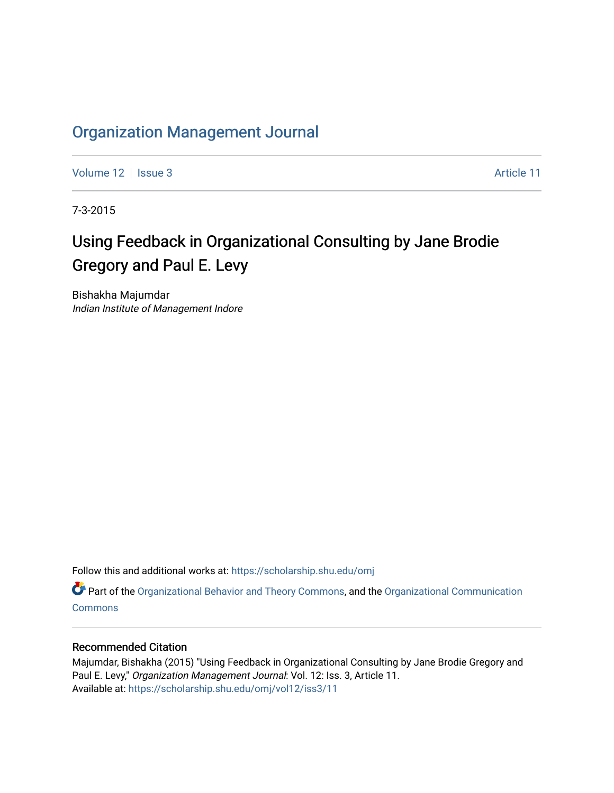## [Organization Management Journal](https://scholarship.shu.edu/omj)

[Volume 12](https://scholarship.shu.edu/omj/vol12) | [Issue 3](https://scholarship.shu.edu/omj/vol12/iss3) Article 11

7-3-2015

# Using Feedback in Organizational Consulting by Jane Brodie Gregory and Paul E. Levy

Bishakha Majumdar Indian Institute of Management Indore

Follow this and additional works at: [https://scholarship.shu.edu/omj](https://scholarship.shu.edu/omj?utm_source=scholarship.shu.edu%2Fomj%2Fvol12%2Fiss3%2F11&utm_medium=PDF&utm_campaign=PDFCoverPages) 

Part of the [Organizational Behavior and Theory Commons,](http://network.bepress.com/hgg/discipline/639?utm_source=scholarship.shu.edu%2Fomj%2Fvol12%2Fiss3%2F11&utm_medium=PDF&utm_campaign=PDFCoverPages) and the [Organizational Communication](http://network.bepress.com/hgg/discipline/335?utm_source=scholarship.shu.edu%2Fomj%2Fvol12%2Fiss3%2F11&utm_medium=PDF&utm_campaign=PDFCoverPages) **[Commons](http://network.bepress.com/hgg/discipline/335?utm_source=scholarship.shu.edu%2Fomj%2Fvol12%2Fiss3%2F11&utm_medium=PDF&utm_campaign=PDFCoverPages)** 

### Recommended Citation

Majumdar, Bishakha (2015) "Using Feedback in Organizational Consulting by Jane Brodie Gregory and Paul E. Levy," Organization Management Journal: Vol. 12: Iss. 3, Article 11. Available at: [https://scholarship.shu.edu/omj/vol12/iss3/11](https://scholarship.shu.edu/omj/vol12/iss3/11?utm_source=scholarship.shu.edu%2Fomj%2Fvol12%2Fiss3%2F11&utm_medium=PDF&utm_campaign=PDFCoverPages)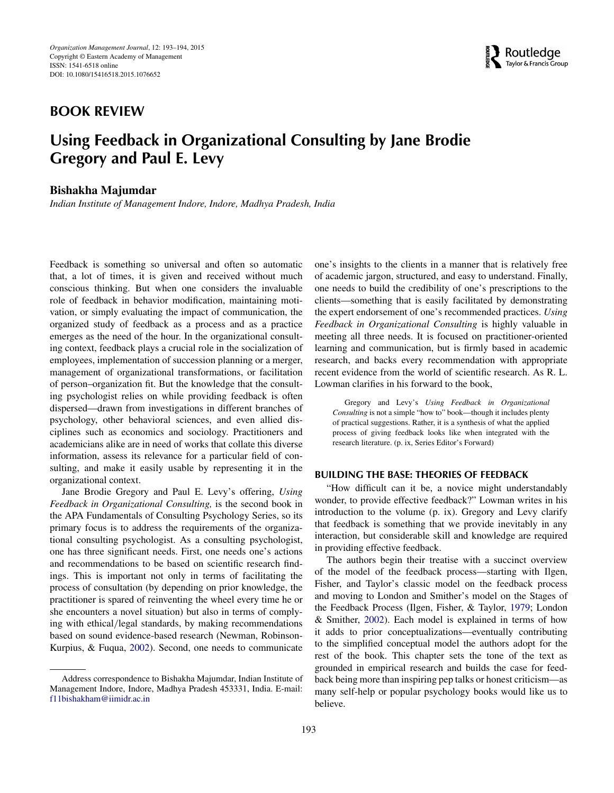## **BOOK REVIEW**



# **Using Feedback in Organizational Consulting by Jane Brodie Gregory and Paul E. Levy**

#### **Bishakha Majumdar**

*Indian Institute of Management Indore, Indore, Madhya Pradesh, India*

Feedback is something so universal and often so automatic that, a lot of times, it is given and received without much conscious thinking. But when one considers the invaluable role of feedback in behavior modification, maintaining motivation, or simply evaluating the impact of communication, the organized study of feedback as a process and as a practice emerges as the need of the hour. In the organizational consulting context, feedback plays a crucial role in the socialization of employees, implementation of succession planning or a merger, management of organizational transformations, or facilitation of person–organization fit. But the knowledge that the consulting psychologist relies on while providing feedback is often dispersed—drawn from investigations in different branches of psychology, other behavioral sciences, and even allied disciplines such as economics and sociology. Practitioners and academicians alike are in need of works that collate this diverse information, assess its relevance for a particular field of consulting, and make it easily usable by representing it in the organizational context.

Jane Brodie Gregory and Paul E. Levy's offering, *Using Feedback in Organizational Consulting,* is the second book in the APA Fundamentals of Consulting Psychology Series, so its primary focus is to address the requirements of the organizational consulting psychologist. As a consulting psychologist, one has three significant needs. First, one needs one's actions and recommendations to be based on scientific research findings. This is important not only in terms of facilitating the process of consultation (by depending on prior knowledge, the practitioner is spared of reinventing the wheel every time he or she encounters a novel situation) but also in terms of complying with ethical*/*legal standards, by making recommendations based on sound evidence-based research (Newman, Robinson-Kurpius, & Fuqua, [2002\)](#page-2-0). Second, one needs to communicate

one's insights to the clients in a manner that is relatively free of academic jargon, structured, and easy to understand. Finally, one needs to build the credibility of one's prescriptions to the clients—something that is easily facilitated by demonstrating the expert endorsement of one's recommended practices. *Using Feedback in Organizational Consulting* is highly valuable in meeting all three needs. It is focused on practitioner-oriented learning and communication, but is firmly based in academic research, and backs every recommendation with appropriate recent evidence from the world of scientific research. As R. L. Lowman clarifies in his forward to the book,

Gregory and Levy's *Using Feedback in Organizational Consulting* is not a simple "how to" book—though it includes plenty of practical suggestions. Rather, it is a synthesis of what the applied process of giving feedback looks like when integrated with the research literature. (p. ix, Series Editor's Forward)

#### **BUILDING THE BASE: THEORIES OF FEEDBACK**

"How difficult can it be, a novice might understandably wonder, to provide effective feedback?" Lowman writes in his introduction to the volume (p. ix). Gregory and Levy clarify that feedback is something that we provide inevitably in any interaction, but considerable skill and knowledge are required in providing effective feedback.

The authors begin their treatise with a succinct overview of the model of the feedback process—starting with Ilgen, Fisher, and Taylor's classic model on the feedback process and moving to London and Smither's model on the Stages of the Feedback Process (Ilgen, Fisher, & Taylor, [1979;](#page-2-1) London & Smither, [2002\)](#page-2-2). Each model is explained in terms of how it adds to prior conceptualizations—eventually contributing to the simplified conceptual model the authors adopt for the rest of the book. This chapter sets the tone of the text as grounded in empirical research and builds the case for feedback being more than inspiring pep talks or honest criticism—as many self-help or popular psychology books would like us to believe.

Address correspondence to Bishakha Majumdar, Indian Institute of Management Indore, Indore, Madhya Pradesh 453331, India. E-mail: [f11bishakham@iimidr.ac.in](mailto:f11bishakham@iimidr.ac.in)